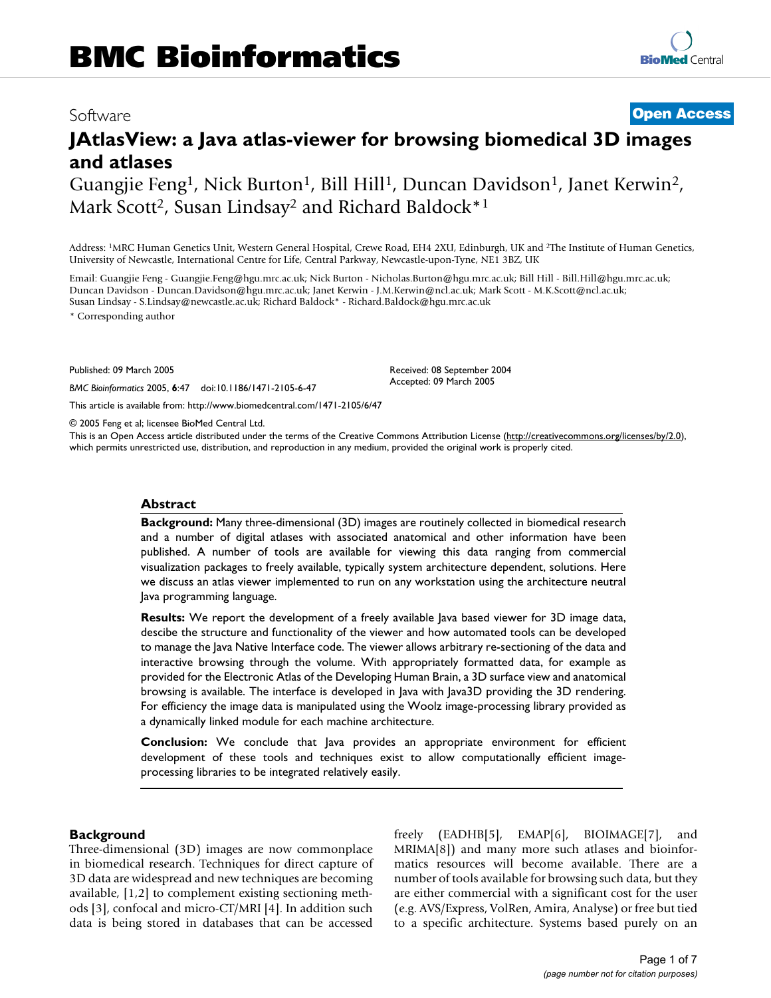# Software **[Open Access](http://www.biomedcentral.com/info/about/charter/) JAtlasView: a Java atlas-viewer for browsing biomedical 3D images and atlases**

Guangjie Feng<sup>1</sup>, Nick Burton<sup>1</sup>, Bill Hill<sup>1</sup>, Duncan Davidson<sup>1</sup>, Janet Kerwin<sup>2</sup>, Mark Scott<sup>2</sup>, Susan Lindsay<sup>2</sup> and Richard Baldock\*<sup>1</sup>

Address: 1MRC Human Genetics Unit, Western General Hospital, Crewe Road, EH4 2XU, Edinburgh, UK and 2The Institute of Human Genetics, University of Newcastle, International Centre for Life, Central Parkway, Newcastle-upon-Tyne, NE1 3BZ, UK

Email: Guangjie Feng - Guangjie.Feng@hgu.mrc.ac.uk; Nick Burton - Nicholas.Burton@hgu.mrc.ac.uk; Bill Hill - Bill.Hill@hgu.mrc.ac.uk; Duncan Davidson - Duncan.Davidson@hgu.mrc.ac.uk; Janet Kerwin - J.M.Kerwin@ncl.ac.uk; Mark Scott - M.K.Scott@ncl.ac.uk; Susan Lindsay - S.Lindsay@newcastle.ac.uk; Richard Baldock\* - Richard.Baldock@hgu.mrc.ac.uk

\* Corresponding author

Published: 09 March 2005

*BMC Bioinformatics* 2005, **6**:47 doi:10.1186/1471-2105-6-47

[This article is available from: http://www.biomedcentral.com/1471-2105/6/47](http://www.biomedcentral.com/1471-2105/6/47)

© 2005 Feng et al; licensee BioMed Central Ltd.

This is an Open Access article distributed under the terms of the Creative Commons Attribution License [\(http://creativecommons.org/licenses/by/2.0\)](http://creativecommons.org/licenses/by/2.0), which permits unrestricted use, distribution, and reproduction in any medium, provided the original work is properly cited.

Received: 08 September 2004 Accepted: 09 March 2005

#### **Abstract**

**Background:** Many three-dimensional (3D) images are routinely collected in biomedical research and a number of digital atlases with associated anatomical and other information have been published. A number of tools are available for viewing this data ranging from commercial visualization packages to freely available, typically system architecture dependent, solutions. Here we discuss an atlas viewer implemented to run on any workstation using the architecture neutral Java programming language.

**Results:** We report the development of a freely available Java based viewer for 3D image data, descibe the structure and functionality of the viewer and how automated tools can be developed to manage the Java Native Interface code. The viewer allows arbitrary re-sectioning of the data and interactive browsing through the volume. With appropriately formatted data, for example as provided for the Electronic Atlas of the Developing Human Brain, a 3D surface view and anatomical browsing is available. The interface is developed in Java with Java3D providing the 3D rendering. For efficiency the image data is manipulated using the Woolz image-processing library provided as a dynamically linked module for each machine architecture.

**Conclusion:** We conclude that Java provides an appropriate environment for efficient development of these tools and techniques exist to allow computationally efficient imageprocessing libraries to be integrated relatively easily.

## **Background**

Three-dimensional (3D) images are now commonplace in biomedical research. Techniques for direct capture of 3D data are widespread and new techniques are becoming available, [1,2] to complement existing sectioning methods [3], confocal and micro-CT/MRI [4]. In addition such data is being stored in databases that can be accessed freely (EADHB[5], EMAP[6], BIOIMAGE[7], and MRIMA[8]) and many more such atlases and bioinformatics resources will become available. There are a number of tools available for browsing such data, but they are either commercial with a significant cost for the user (e.g. AVS/Express, VolRen, Amira, Analyse) or free but tied to a specific architecture. Systems based purely on an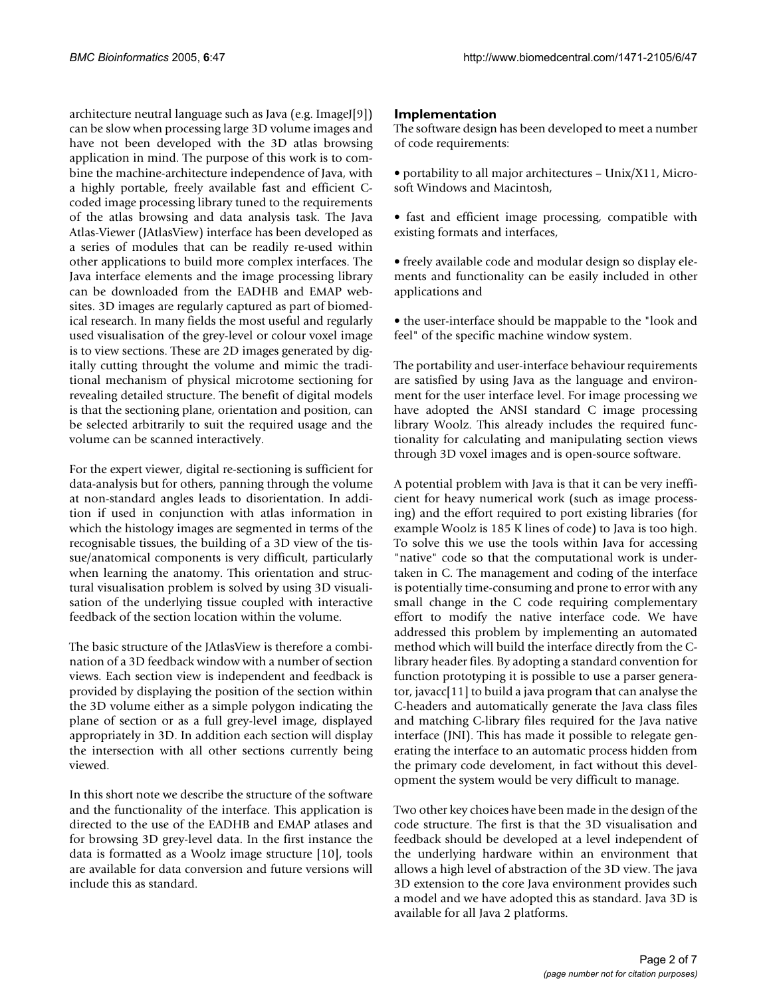architecture neutral language such as Java (e.g. ImageJ[9]) can be slow when processing large 3D volume images and have not been developed with the 3D atlas browsing application in mind. The purpose of this work is to combine the machine-architecture independence of Java, with a highly portable, freely available fast and efficient Ccoded image processing library tuned to the requirements of the atlas browsing and data analysis task. The Java Atlas-Viewer (JAtlasView) interface has been developed as a series of modules that can be readily re-used within other applications to build more complex interfaces. The Java interface elements and the image processing library can be downloaded from the EADHB and EMAP websites. 3D images are regularly captured as part of biomedical research. In many fields the most useful and regularly used visualisation of the grey-level or colour voxel image is to view sections. These are 2D images generated by digitally cutting throught the volume and mimic the traditional mechanism of physical microtome sectioning for revealing detailed structure. The benefit of digital models is that the sectioning plane, orientation and position, can be selected arbitrarily to suit the required usage and the volume can be scanned interactively.

For the expert viewer, digital re-sectioning is sufficient for data-analysis but for others, panning through the volume at non-standard angles leads to disorientation. In addition if used in conjunction with atlas information in which the histology images are segmented in terms of the recognisable tissues, the building of a 3D view of the tissue/anatomical components is very difficult, particularly when learning the anatomy. This orientation and structural visualisation problem is solved by using 3D visualisation of the underlying tissue coupled with interactive feedback of the section location within the volume.

The basic structure of the JAtlasView is therefore a combination of a 3D feedback window with a number of section views. Each section view is independent and feedback is provided by displaying the position of the section within the 3D volume either as a simple polygon indicating the plane of section or as a full grey-level image, displayed appropriately in 3D. In addition each section will display the intersection with all other sections currently being viewed.

In this short note we describe the structure of the software and the functionality of the interface. This application is directed to the use of the EADHB and EMAP atlases and for browsing 3D grey-level data. In the first instance the data is formatted as a Woolz image structure [10], tools are available for data conversion and future versions will include this as standard.

## **Implementation**

The software design has been developed to meet a number of code requirements:

• portability to all major architectures – Unix/X11, Microsoft Windows and Macintosh,

• fast and efficient image processing, compatible with existing formats and interfaces,

• freely available code and modular design so display elements and functionality can be easily included in other applications and

• the user-interface should be mappable to the "look and feel" of the specific machine window system.

The portability and user-interface behaviour requirements are satisfied by using Java as the language and environment for the user interface level. For image processing we have adopted the ANSI standard C image processing library Woolz. This already includes the required functionality for calculating and manipulating section views through 3D voxel images and is open-source software.

A potential problem with Java is that it can be very inefficient for heavy numerical work (such as image processing) and the effort required to port existing libraries (for example Woolz is 185 K lines of code) to Java is too high. To solve this we use the tools within Java for accessing "native" code so that the computational work is undertaken in C. The management and coding of the interface is potentially time-consuming and prone to error with any small change in the C code requiring complementary effort to modify the native interface code. We have addressed this problem by implementing an automated method which will build the interface directly from the Clibrary header files. By adopting a standard convention for function prototyping it is possible to use a parser generator, javacc[11] to build a java program that can analyse the C-headers and automatically generate the Java class files and matching C-library files required for the Java native interface (JNI). This has made it possible to relegate generating the interface to an automatic process hidden from the primary code develoment, in fact without this development the system would be very difficult to manage.

Two other key choices have been made in the design of the code structure. The first is that the 3D visualisation and feedback should be developed at a level independent of the underlying hardware within an environment that allows a high level of abstraction of the 3D view. The java 3D extension to the core Java environment provides such a model and we have adopted this as standard. Java 3D is available for all Java 2 platforms.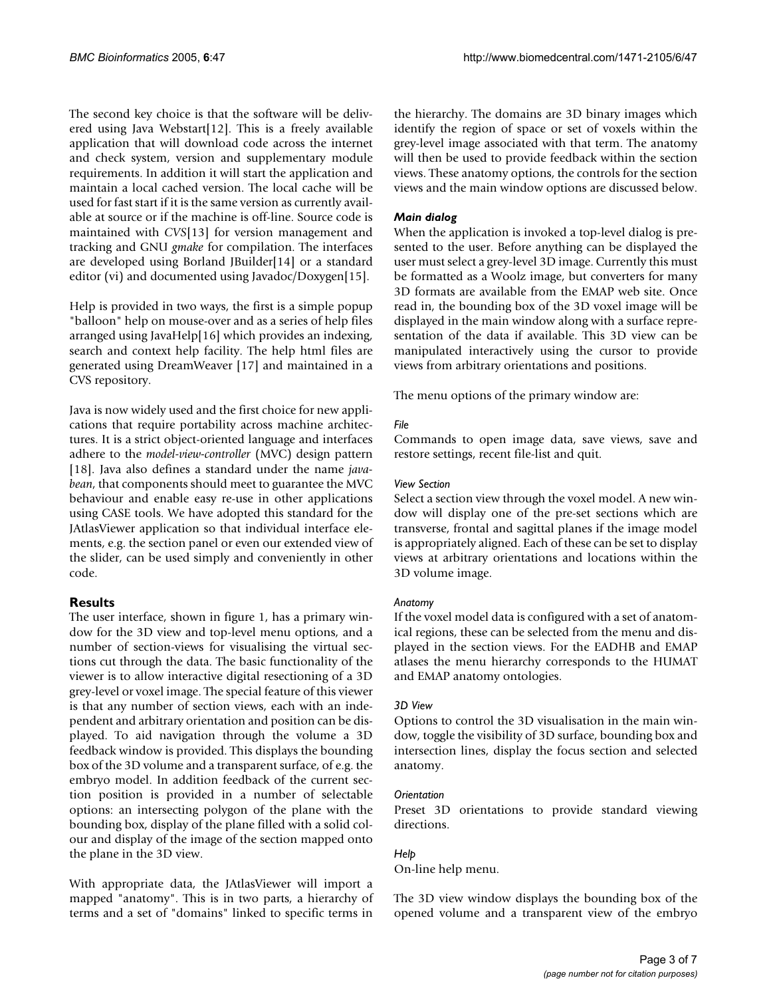The second key choice is that the software will be delivered using Java Webstart[12]. This is a freely available application that will download code across the internet and check system, version and supplementary module requirements. In addition it will start the application and maintain a local cached version. The local cache will be used for fast start if it is the same version as currently available at source or if the machine is off-line. Source code is maintained with *CVS*[13] for version management and tracking and GNU *gmake* for compilation. The interfaces are developed using Borland JBuilder[14] or a standard editor (vi) and documented using Javadoc/Doxygen[15].

Help is provided in two ways, the first is a simple popup "balloon" help on mouse-over and as a series of help files arranged using JavaHelp[16] which provides an indexing, search and context help facility. The help html files are generated using DreamWeaver [17] and maintained in a CVS repository.

Java is now widely used and the first choice for new applications that require portability across machine architectures. It is a strict object-oriented language and interfaces adhere to the *model-view-controller* (MVC) design pattern [18]. Java also defines a standard under the name *javabean*, that components should meet to guarantee the MVC behaviour and enable easy re-use in other applications using CASE tools. We have adopted this standard for the JAtlasViewer application so that individual interface elements, e.g. the section panel or even our extended view of the slider, can be used simply and conveniently in other code.

## **Results**

The user interface, shown in figure [1,](#page-3-0) has a primary window for the 3D view and top-level menu options, and a number of section-views for visualising the virtual sections cut through the data. The basic functionality of the viewer is to allow interactive digital resectioning of a 3D grey-level or voxel image. The special feature of this viewer is that any number of section views, each with an independent and arbitrary orientation and position can be displayed. To aid navigation through the volume a 3D feedback window is provided. This displays the bounding box of the 3D volume and a transparent surface, of e.g. the embryo model. In addition feedback of the current section position is provided in a number of selectable options: an intersecting polygon of the plane with the bounding box, display of the plane filled with a solid colour and display of the image of the section mapped onto the plane in the 3D view.

With appropriate data, the JAtlasViewer will import a mapped "anatomy". This is in two parts, a hierarchy of terms and a set of "domains" linked to specific terms in the hierarchy. The domains are 3D binary images which identify the region of space or set of voxels within the grey-level image associated with that term. The anatomy will then be used to provide feedback within the section views. These anatomy options, the controls for the section views and the main window options are discussed below.

## *Main dialog*

When the application is invoked a top-level dialog is presented to the user. Before anything can be displayed the user must select a grey-level 3D image. Currently this must be formatted as a Woolz image, but converters for many 3D formats are available from the EMAP web site. Once read in, the bounding box of the 3D voxel image will be displayed in the main window along with a surface representation of the data if available. This 3D view can be manipulated interactively using the cursor to provide views from arbitrary orientations and positions.

The menu options of the primary window are:

## *File*

Commands to open image data, save views, save and restore settings, recent file-list and quit.

## *View Section*

Select a section view through the voxel model. A new window will display one of the pre-set sections which are transverse, frontal and sagittal planes if the image model is appropriately aligned. Each of these can be set to display views at arbitrary orientations and locations within the 3D volume image.

## *Anatomy*

If the voxel model data is configured with a set of anatomical regions, these can be selected from the menu and displayed in the section views. For the EADHB and EMAP atlases the menu hierarchy corresponds to the HUMAT and EMAP anatomy ontologies.

## *3D View*

Options to control the 3D visualisation in the main window, toggle the visibility of 3D surface, bounding box and intersection lines, display the focus section and selected anatomy.

## *Orientation*

Preset 3D orientations to provide standard viewing directions.

## *Help*

On-line help menu.

The 3D view window displays the bounding box of the opened volume and a transparent view of the embryo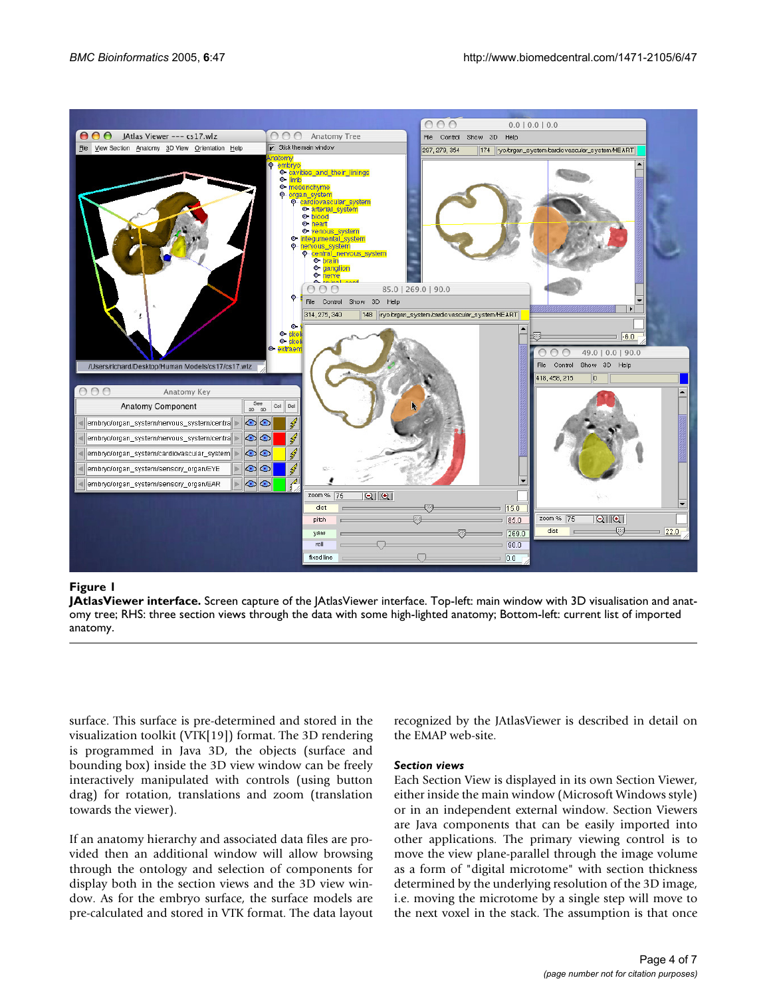<span id="page-3-0"></span>

## **Figure 1**

**JAtlasViewer interface.** Screen capture of the JAtlasViewer interface. Top-left: main window with 3D visualisation and anatomy tree; RHS: three section views through the data with some high-lighted anatomy; Bottom-left: current list of imported anatomy.

surface. This surface is pre-determined and stored in the visualization toolkit (VTK[19]) format. The 3D rendering is programmed in Java 3D, the objects (surface and bounding box) inside the 3D view window can be freely interactively manipulated with controls (using button drag) for rotation, translations and zoom (translation towards the viewer).

If an anatomy hierarchy and associated data files are provided then an additional window will allow browsing through the ontology and selection of components for display both in the section views and the 3D view window. As for the embryo surface, the surface models are pre-calculated and stored in VTK format. The data layout recognized by the JAtlasViewer is described in detail on the EMAP web-site.

## *Section views*

Each Section View is displayed in its own Section Viewer, either inside the main window (Microsoft Windows style) or in an independent external window. Section Viewers are Java components that can be easily imported into other applications. The primary viewing control is to move the view plane-parallel through the image volume as a form of "digital microtome" with section thickness determined by the underlying resolution of the 3D image, i.e. moving the microtome by a single step will move to the next voxel in the stack. The assumption is that once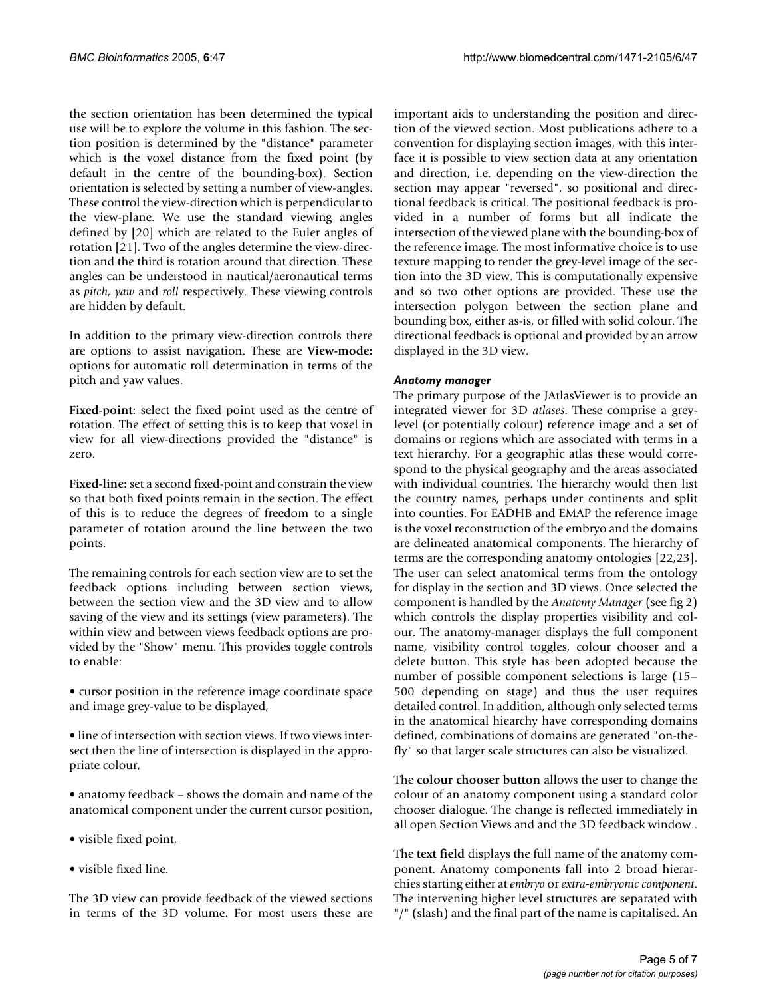the section orientation has been determined the typical use will be to explore the volume in this fashion. The section position is determined by the "distance" parameter which is the voxel distance from the fixed point (by default in the centre of the bounding-box). Section orientation is selected by setting a number of view-angles. These control the view-direction which is perpendicular to the view-plane. We use the standard viewing angles defined by [20] which are related to the Euler angles of rotation [21]. Two of the angles determine the view-direction and the third is rotation around that direction. These angles can be understood in nautical/aeronautical terms as *pitch, yaw* and *roll* respectively. These viewing controls are hidden by default.

In addition to the primary view-direction controls there are options to assist navigation. These are **View-mode:** options for automatic roll determination in terms of the pitch and yaw values.

**Fixed-point:** select the fixed point used as the centre of rotation. The effect of setting this is to keep that voxel in view for all view-directions provided the "distance" is zero.

**Fixed-line:** set a second fixed-point and constrain the view so that both fixed points remain in the section. The effect of this is to reduce the degrees of freedom to a single parameter of rotation around the line between the two points.

The remaining controls for each section view are to set the feedback options including between section views, between the section view and the 3D view and to allow saving of the view and its settings (view parameters). The within view and between views feedback options are provided by the "Show" menu. This provides toggle controls to enable:

• cursor position in the reference image coordinate space and image grey-value to be displayed,

• line of intersection with section views. If two views intersect then the line of intersection is displayed in the appropriate colour,

• anatomy feedback – shows the domain and name of the anatomical component under the current cursor position,

- visible fixed point,
- visible fixed line.

The 3D view can provide feedback of the viewed sections in terms of the 3D volume. For most users these are important aids to understanding the position and direction of the viewed section. Most publications adhere to a convention for displaying section images, with this interface it is possible to view section data at any orientation and direction, i.e. depending on the view-direction the section may appear "reversed", so positional and directional feedback is critical. The positional feedback is provided in a number of forms but all indicate the intersection of the viewed plane with the bounding-box of the reference image. The most informative choice is to use texture mapping to render the grey-level image of the section into the 3D view. This is computationally expensive and so two other options are provided. These use the intersection polygon between the section plane and bounding box, either as-is, or filled with solid colour. The directional feedback is optional and provided by an arrow displayed in the 3D view.

## *Anatomy manager*

The primary purpose of the JAtlasViewer is to provide an integrated viewer for 3D *atlases*. These comprise a greylevel (or potentially colour) reference image and a set of domains or regions which are associated with terms in a text hierarchy. For a geographic atlas these would correspond to the physical geography and the areas associated with individual countries. The hierarchy would then list the country names, perhaps under continents and split into counties. For EADHB and EMAP the reference image is the voxel reconstruction of the embryo and the domains are delineated anatomical components. The hierarchy of terms are the corresponding anatomy ontologies [22,23]. The user can select anatomical terms from the ontology for display in the section and 3D views. Once selected the component is handled by the *Anatomy Manager* (see fig [2](#page-5-0)) which controls the display properties visibility and colour. The anatomy-manager displays the full component name, visibility control toggles, colour chooser and a delete button. This style has been adopted because the number of possible component selections is large (15– 500 depending on stage) and thus the user requires detailed control. In addition, although only selected terms in the anatomical hiearchy have corresponding domains defined, combinations of domains are generated "on-thefly" so that larger scale structures can also be visualized.

The **colour chooser button** allows the user to change the colour of an anatomy component using a standard color chooser dialogue. The change is reflected immediately in all open Section Views and and the 3D feedback window..

The **text field** displays the full name of the anatomy component. Anatomy components fall into 2 broad hierarchies starting either at *embryo* or *extra-embryonic component*. The intervening higher level structures are separated with "/" (slash) and the final part of the name is capitalised. An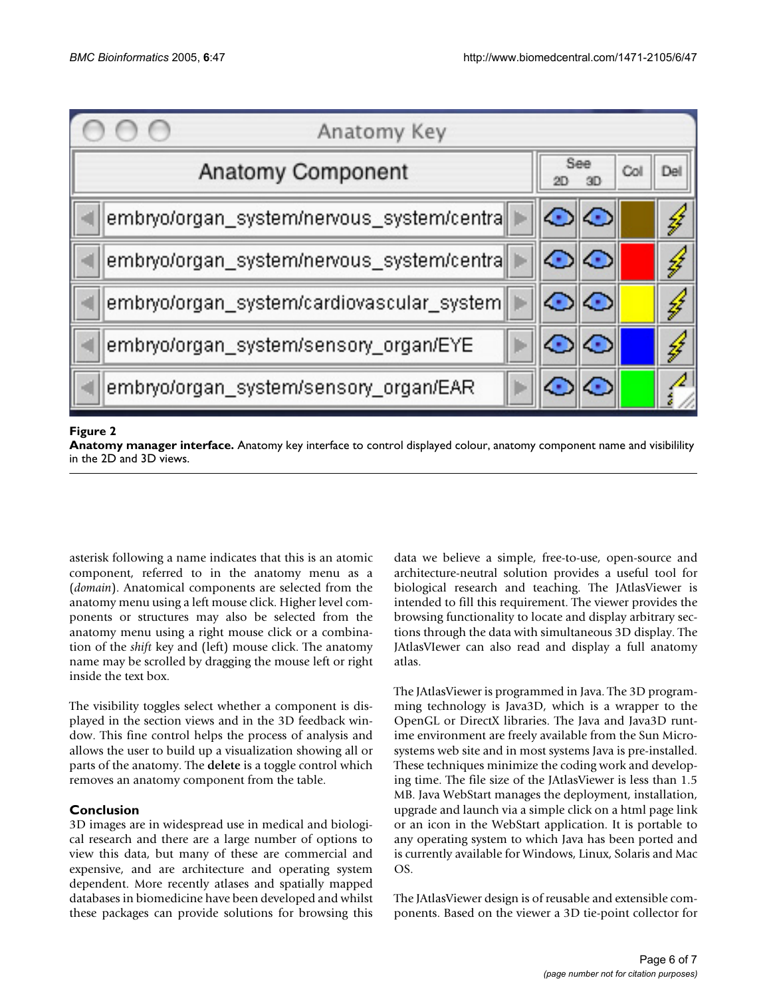<span id="page-5-0"></span>

## **Figure 2**

**Anatomy manager interface.** Anatomy key interface to control displayed colour, anatomy component name and visibilility in the 2D and 3D views.

asterisk following a name indicates that this is an atomic component, referred to in the anatomy menu as a (*domain*). Anatomical components are selected from the anatomy menu using a left mouse click. Higher level components or structures may also be selected from the anatomy menu using a right mouse click or a combination of the *shift* key and (left) mouse click. The anatomy name may be scrolled by dragging the mouse left or right inside the text box.

The visibility toggles select whether a component is displayed in the section views and in the 3D feedback window. This fine control helps the process of analysis and allows the user to build up a visualization showing all or parts of the anatomy. The **delete** is a toggle control which removes an anatomy component from the table.

## **Conclusion**

3D images are in widespread use in medical and biological research and there are a large number of options to view this data, but many of these are commercial and expensive, and are architecture and operating system dependent. More recently atlases and spatially mapped databases in biomedicine have been developed and whilst these packages can provide solutions for browsing this data we believe a simple, free-to-use, open-source and architecture-neutral solution provides a useful tool for biological research and teaching. The JAtlasViewer is intended to fill this requirement. The viewer provides the browsing functionality to locate and display arbitrary sections through the data with simultaneous 3D display. The JAtlasVIewer can also read and display a full anatomy atlas.

The JAtlasViewer is programmed in Java. The 3D programming technology is Java3D, which is a wrapper to the OpenGL or DirectX libraries. The Java and Java3D runtime environment are freely available from the Sun Microsystems web site and in most systems Java is pre-installed. These techniques minimize the coding work and developing time. The file size of the JAtlasViewer is less than 1.5 MB. Java WebStart manages the deployment, installation, upgrade and launch via a simple click on a html page link or an icon in the WebStart application. It is portable to any operating system to which Java has been ported and is currently available for Windows, Linux, Solaris and Mac OS.

The JAtlasViewer design is of reusable and extensible components. Based on the viewer a 3D tie-point collector for